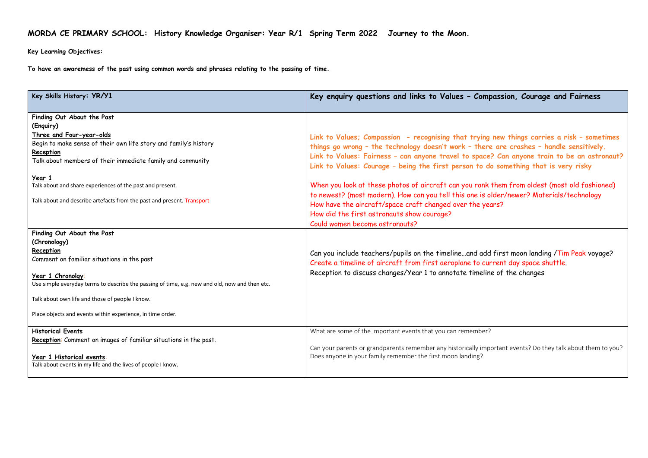## **MORDA CE PRIMARY SCHOOL: History Knowledge Organiser: Year R/1 Spring Term 2022 Journey to the Moon.**

**Key Learning Objectives:**

**To have an awaremess of the past using common words and phrases relating to the passing of time.**

| Key Skills History: YR/Y1                                                                                                                                                                                                                                                                                                                                           | Key enquiry questions and links to Values - Compassion, Courage and Fairness                                                                                                                                                                                                                                                                                                                                                                                                                                                                                                                                                                                                                                         |
|---------------------------------------------------------------------------------------------------------------------------------------------------------------------------------------------------------------------------------------------------------------------------------------------------------------------------------------------------------------------|----------------------------------------------------------------------------------------------------------------------------------------------------------------------------------------------------------------------------------------------------------------------------------------------------------------------------------------------------------------------------------------------------------------------------------------------------------------------------------------------------------------------------------------------------------------------------------------------------------------------------------------------------------------------------------------------------------------------|
| Finding Out About the Past<br>(Enquiry)<br>Three and Four-year-olds<br>Begin to make sense of their own life story and family's history<br>Reception<br>Talk about members of their immediate family and community<br>Year 1<br>Talk about and share experiences of the past and present.<br>Talk about and describe artefacts from the past and present. Transport | Link to Values; Compassion - recognising that trying new things carries a risk - sometimes<br>things go wrong - the technology doesn't work - there are crashes - handle sensitively.<br>Link to Values: Fairness - can anyone travel to space? Can anyone train to be an astronaut?<br>Link to Values: Courage - being the first person to do something that is very risky<br>When you look at these photos of aircraft can you rank them from oldest (most old fashioned)<br>to newest? (most modern). How can you tell this one is older/newer? Materials/technology<br>How have the aircraft/space craft changed over the years?<br>How did the first astronauts show courage?<br>Could women become astronauts? |
| Finding Out About the Past<br>(Chronology)<br>Reception<br>Comment on familiar situations in the past<br>Year 1 Chronolay:<br>Use simple everyday terms to describe the passing of time, e.g. new and old, now and then etc.<br>Talk about own life and those of people I know.<br>Place objects and events within experience, in time order.                       | Can you include teachers/pupils on the timelineand add first moon landing /Tim Peak voyage?<br>Create a timeline of aircraft from first aeroplane to current day space shuttle.<br>Reception to discuss changes/Year 1 to annotate timeline of the changes                                                                                                                                                                                                                                                                                                                                                                                                                                                           |
| <b>Historical Events</b><br>Reception: Comment on images of familiar situations in the past.<br>Year 1 Historical events:<br>Talk about events in my life and the lives of people I know.                                                                                                                                                                           | What are some of the important events that you can remember?<br>Can your parents or grandparents remember any historically important events? Do they talk about them to you?<br>Does anyone in your family remember the first moon landing?                                                                                                                                                                                                                                                                                                                                                                                                                                                                          |